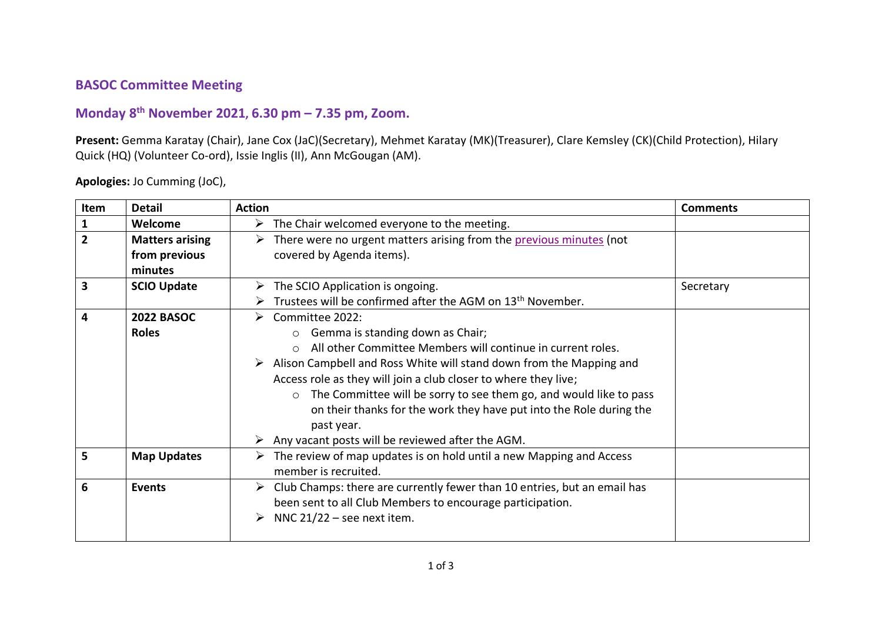## **BASOC Committee Meeting**

## **Monday 8 th November 2021, 6.30 pm – 7.35 pm, Zoom.**

**Present:** Gemma Karatay (Chair), Jane Cox (JaC)(Secretary), Mehmet Karatay (MK)(Treasurer), Clare Kemsley (CK)(Child Protection), Hilary Quick (HQ) (Volunteer Co-ord), Issie Inglis (II), Ann McGougan (AM).

**Apologies:** Jo Cumming (JoC),

| Item           | <b>Detail</b>          | <b>Action</b>                                                                             | <b>Comments</b> |
|----------------|------------------------|-------------------------------------------------------------------------------------------|-----------------|
| 1              | Welcome                | $\triangleright$ The Chair welcomed everyone to the meeting.                              |                 |
| $\overline{2}$ | <b>Matters arising</b> | There were no urgent matters arising from the previous minutes (not<br>➤                  |                 |
|                | from previous          | covered by Agenda items).                                                                 |                 |
|                | minutes                |                                                                                           |                 |
| 3              | <b>SCIO Update</b>     | $\triangleright$ The SCIO Application is ongoing.                                         | Secretary       |
|                |                        | Trustees will be confirmed after the AGM on 13 <sup>th</sup> November.                    |                 |
| 4              | <b>2022 BASOC</b>      | Committee 2022:<br>➤                                                                      |                 |
|                | <b>Roles</b>           | Gemma is standing down as Chair;<br>$\Omega$                                              |                 |
|                |                        | All other Committee Members will continue in current roles.                               |                 |
|                |                        | $\triangleright$ Alison Campbell and Ross White will stand down from the Mapping and      |                 |
|                |                        | Access role as they will join a club closer to where they live;                           |                 |
|                |                        | The Committee will be sorry to see them go, and would like to pass<br>$\circ$             |                 |
|                |                        | on their thanks for the work they have put into the Role during the                       |                 |
|                |                        | past year.                                                                                |                 |
|                |                        | $\triangleright$ Any vacant posts will be reviewed after the AGM.                         |                 |
| 5              | <b>Map Updates</b>     | $\triangleright$ The review of map updates is on hold until a new Mapping and Access      |                 |
|                |                        | member is recruited.                                                                      |                 |
| 6              | Events                 | $\triangleright$ Club Champs: there are currently fewer than 10 entries, but an email has |                 |
|                |                        | been sent to all Club Members to encourage participation.                                 |                 |
|                |                        | $\triangleright$ NNC 21/22 – see next item.                                               |                 |
|                |                        |                                                                                           |                 |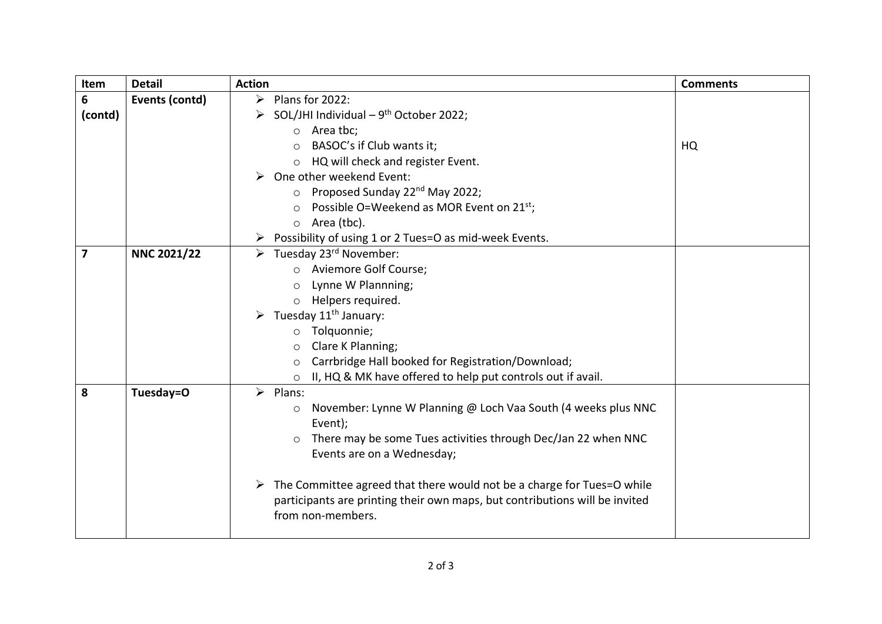| 6<br>$\triangleright$ Plans for 2022:<br>Events (contd)<br>SOL/JHI Individual $-9^{th}$ October 2022;<br>(contd)<br>➤<br>Area tbc;<br>$\circ$ |  |
|-----------------------------------------------------------------------------------------------------------------------------------------------|--|
|                                                                                                                                               |  |
|                                                                                                                                               |  |
|                                                                                                                                               |  |
| BASOC's if Club wants it;<br>HQ<br>$\circ$                                                                                                    |  |
| HQ will check and register Event.<br>$\circ$                                                                                                  |  |
| One other weekend Event:                                                                                                                      |  |
| Proposed Sunday 22 <sup>nd</sup> May 2022;                                                                                                    |  |
| Possible O=Weekend as MOR Event on $21^{st}$ ;<br>$\circ$                                                                                     |  |
| Area (tbc).<br>$\circ$                                                                                                                        |  |
| Possibility of using 1 or 2 Tues=O as mid-week Events.                                                                                        |  |
| $\overline{7}$<br><b>NNC 2021/22</b><br>$\triangleright$ Tuesday 23 <sup>rd</sup> November:                                                   |  |
| o Aviemore Golf Course;                                                                                                                       |  |
| Lynne W Plannning;<br>$\circ$                                                                                                                 |  |
| Helpers required.<br>$\circ$                                                                                                                  |  |
| Tuesday 11 <sup>th</sup> January:                                                                                                             |  |
| Tolquonnie;<br>$\circ$                                                                                                                        |  |
| Clare K Planning;<br>$\circ$                                                                                                                  |  |
| Carrbridge Hall booked for Registration/Download;<br>$\circ$                                                                                  |  |
| II, HQ & MK have offered to help put controls out if avail.<br>$\circ$                                                                        |  |
| 8<br>Tuesday=O<br>$\triangleright$ Plans:                                                                                                     |  |
| November: Lynne W Planning @ Loch Vaa South (4 weeks plus NNC<br>$\circ$                                                                      |  |
| Event);                                                                                                                                       |  |
| There may be some Tues activities through Dec/Jan 22 when NNC                                                                                 |  |
| Events are on a Wednesday;                                                                                                                    |  |
| $\triangleright$ The Committee agreed that there would not be a charge for Tues=O while                                                       |  |
|                                                                                                                                               |  |
| participants are printing their own maps, but contributions will be invited<br>from non-members.                                              |  |
|                                                                                                                                               |  |